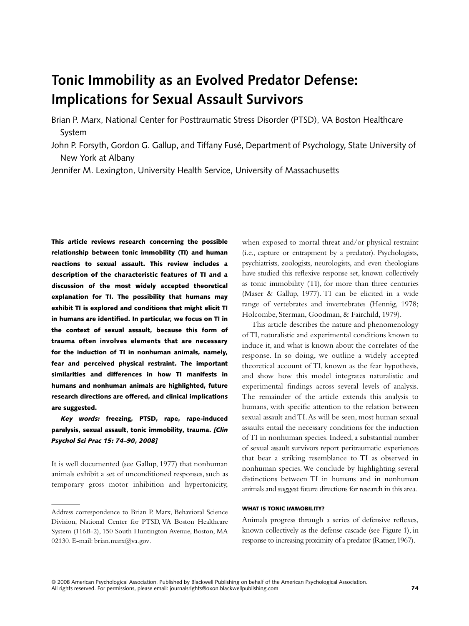# Tonic Immobility as an Evolved Predator Defense: **Implications for Sexual Assault Survivors**

Brian P. Marx, National Center for Posttraumatic Stress Disorder (PTSD), VA Boston Healthcare System

John P. Forsyth, Gordon G. Gallup, and Tiffany Fusé, Department of Psychology, State University of New York at Albany

Jennifer M. Lexington, University Health Service, University of Massachusetts

**This article reviews research concerning the possible relationship between tonic immobility (TI) and human reactions to sexual assault. This review includes a description of the characteristic features of TI and a discussion of the most widely accepted theoretical explanation for TI. The possibility that humans may exhibit TI is explored and conditions that might elicit TI in humans are identified. In particular, we focus on TI in the context of sexual assault, because this form of trauma often involves elements that are necessary for the induction of TI in nonhuman animals, namely, fear and perceived physical restraint. The important similarities and differences in how TI manifests in humans and nonhuman animals are highlighted, future research directions are offered, and clinical implications are suggested.**

*Key words:* **freezing, PTSD, rape, rape-induced paralysis, sexual assault, tonic immobility, trauma.** *[Clin Psychol Sci Prac 15: 74–90, 2008]*

It is well documented (see Gallup, 1977) that nonhuman animals exhibit a set of unconditioned responses, such as temporary gross motor inhibition and hypertonicity,

when exposed to mortal threat and/or physical restraint (i.e., capture or entrapment by a predator). Psychologists, psychiatrists, zoologists, neurologists, and even theologians have studied this reflexive response set, known collectively as tonic immobility (TI), for more than three centuries (Maser & Gallup, 1977). TI can be elicited in a wide range of vertebrates and invertebrates (Hennig, 1978; Holcombe, Sterman, Goodman, & Fairchild, 1979).

This article describes the nature and phenomenology of TI, naturalistic and experimental conditions known to induce it, and what is known about the correlates of the response. In so doing, we outline a widely accepted theoretical account of TI, known as the fear hypothesis, and show how this model integrates naturalistic and experimental findings across several levels of analysis. The remainder of the article extends this analysis to humans, with specific attention to the relation between sexual assault and TI. As will be seen, most human sexual assaults entail the necessary conditions for the induction of TI in nonhuman species. Indeed, a substantial number of sexual assault survivors report peritraumatic experiences that bear a striking resemblance to TI as observed in nonhuman species. We conclude by highlighting several distinctions between TI in humans and in nonhuman animals and suggest future directions for research in this area.

## **WHAT IS TONIC IMMOBILITY?**

Animals progress through a series of defensive reflexes, known collectively as the defense cascade (see Figure 1), in response to increasing proximity of a predator (Ratner, 1967).

Address correspondence to Brian P. Marx, Behavioral Science Division, National Center for PTSD, VA Boston Healthcare System (116B-2), 150 South Huntington Avenue, Boston, MA 02130. E-mail: brian.marx@va.gov.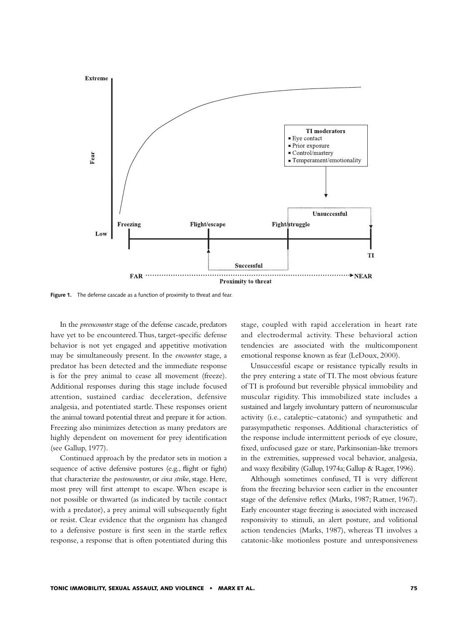

**Figure 1.** The defense cascade as a function of proximity to threat and fear.

In the *preencounter* stage of the defense cascade, predators have yet to be encountered. Thus, target-specific defense behavior is not yet engaged and appetitive motivation may be simultaneously present. In the *encounter* stage, a predator has been detected and the immediate response is for the prey animal to cease all movement (freeze). Additional responses during this stage include focused attention, sustained cardiac deceleration, defensive analgesia, and potentiated startle. These responses orient the animal toward potential threat and prepare it for action. Freezing also minimizes detection as many predators are highly dependent on movement for prey identification (see Gallup, 1977).

Continued approach by the predator sets in motion a sequence of active defensive postures (e.g., flight or fight) that characterize the *postencounter*, or *circa strike*, stage. Here, most prey will first attempt to escape. When escape is not possible or thwarted (as indicated by tactile contact with a predator), a prey animal will subsequently fight or resist. Clear evidence that the organism has changed to a defensive posture is first seen in the startle reflex response, a response that is often potentiated during this stage, coupled with rapid acceleration in heart rate and electrodermal activity. These behavioral action tendencies are associated with the multicomponent emotional response known as fear (LeDoux, 2000).

Unsuccessful escape or resistance typically results in the prey entering a state of TI. The most obvious feature of TI is profound but reversible physical immobility and muscular rigidity. This immobilized state includes a sustained and largely involuntary pattern of neuromuscular activity (i.e., cataleptic–catatonic) and sympathetic and parasympathetic responses. Additional characteristics of the response include intermittent periods of eye closure, fixed, unfocused gaze or stare, Parkinsonian-like tremors in the extremities, suppressed vocal behavior, analgesia, and waxy flexibility (Gallup, 1974a; Gallup & Rager, 1996).

Although sometimes confused, TI is very different from the freezing behavior seen earlier in the encounter stage of the defensive reflex (Marks, 1987; Ratner, 1967). Early encounter stage freezing is associated with increased responsivity to stimuli, an alert posture, and volitional action tendencies (Marks, 1987), whereas TI involves a catatonic-like motionless posture and unresponsiveness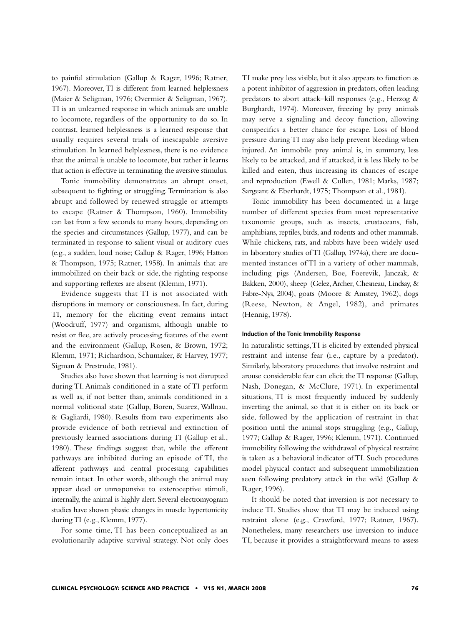to painful stimulation (Gallup & Rager, 1996; Ratner, 1967). Moreover, TI is different from learned helplessness (Maier & Seligman, 1976; Overmier & Seligman, 1967). TI is an unlearned response in which animals are unable to locomote, regardless of the opportunity to do so. In contrast, learned helplessness is a learned response that usually requires several trials of inescapable aversive stimulation. In learned helplessness, there is no evidence that the animal is unable to locomote, but rather it learns that action is effective in terminating the aversive stimulus.

Tonic immobility demonstrates an abrupt onset, subsequent to fighting or struggling. Termination is also abrupt and followed by renewed struggle or attempts to escape (Ratner & Thompson, 1960). Immobility can last from a few seconds to many hours, depending on the species and circumstances (Gallup, 1977), and can be terminated in response to salient visual or auditory cues (e.g., a sudden, loud noise; Gallup & Rager, 1996; Hatton & Thompson, 1975; Ratner, 1958). In animals that are immobilized on their back or side, the righting response and supporting reflexes are absent (Klemm, 1971).

Evidence suggests that TI is not associated with disruptions in memory or consciousness. In fact, during TI, memory for the eliciting event remains intact (Woodruff, 1977) and organisms, although unable to resist or flee, are actively processing features of the event and the environment (Gallup, Rosen, & Brown, 1972; Klemm, 1971; Richardson, Schumaker, & Harvey, 1977; Sigman & Prestrude, 1981).

Studies also have shown that learning is not disrupted during TI. Animals conditioned in a state of TI perform as well as, if not better than, animals conditioned in a normal volitional state (Gallup, Boren, Suarez, Wallnau, & Gagliardi, 1980). Results from two experiments also provide evidence of both retrieval and extinction of previously learned associations during TI (Gallup et al., 1980). These findings suggest that, while the efferent pathways are inhibited during an episode of TI, the afferent pathways and central processing capabilities remain intact. In other words, although the animal may appear dead or unresponsive to exteroceptive stimuli, internally, the animal is highly alert. Several electromyogram studies have shown phasic changes in muscle hypertonicity during TI (e.g., Klemm, 1977).

For some time, TI has been conceptualized as an evolutionarily adaptive survival strategy. Not only does TI make prey less visible, but it also appears to function as a potent inhibitor of aggression in predators, often leading predators to abort attack–kill responses (e.g., Herzog & Burghardt, 1974). Moreover, freezing by prey animals may serve a signaling and decoy function, allowing conspecifics a better chance for escape. Loss of blood pressure during TI may also help prevent bleeding when injured. An immobile prey animal is, in summary, less likely to be attacked, and if attacked, it is less likely to be killed and eaten, thus increasing its chances of escape and reproduction (Ewell & Cullen, 1981; Marks, 1987; Sargeant & Eberhardt, 1975; Thompson et al., 1981).

Tonic immobility has been documented in a large number of different species from most representative taxonomic groups, such as insects, crustaceans, fish, amphibians, reptiles, birds, and rodents and other mammals. While chickens, rats, and rabbits have been widely used in laboratory studies of TI (Gallup, 1974a), there are documented instances of TI in a variety of other mammals, including pigs (Andersen, Boe, Foerevik, Janczak, & Bakken, 2000), sheep (Gelez, Archer, Chesneau, Lindsay, & Fabre-Nys, 2004), goats (Moore & Amstey, 1962), dogs (Reese, Newton, & Angel, 1982), and primates (Hennig, 1978).

## **Induction of the Tonic Immobility Response**

In naturalistic settings, TI is elicited by extended physical restraint and intense fear (i.e., capture by a predator). Similarly, laboratory procedures that involve restraint and arouse considerable fear can elicit the TI response (Gallup, Nash, Donegan, & McClure, 1971). In experimental situations, TI is most frequently induced by suddenly inverting the animal, so that it is either on its back or side, followed by the application of restraint in that position until the animal stops struggling (e.g., Gallup, 1977; Gallup & Rager, 1996; Klemm, 1971). Continued immobility following the withdrawal of physical restraint is taken as a behavioral indicator of TI. Such procedures model physical contact and subsequent immobilization seen following predatory attack in the wild (Gallup & Rager, 1996).

It should be noted that inversion is not necessary to induce TI. Studies show that TI may be induced using restraint alone (e.g., Crawford, 1977; Ratner, 1967). Nonetheless, many researchers use inversion to induce TI, because it provides a straightforward means to assess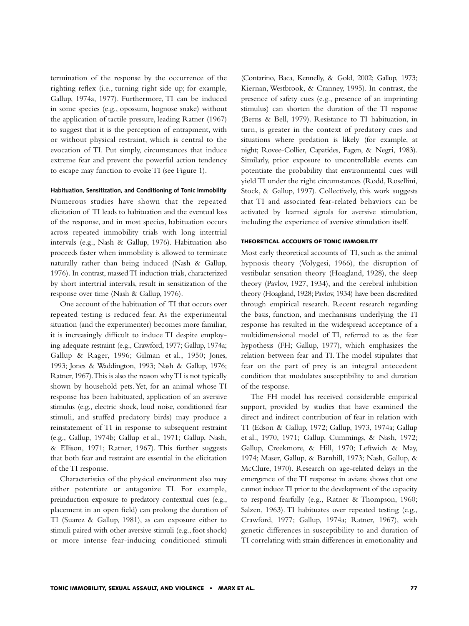termination of the response by the occurrence of the righting reflex (i.e., turning right side up; for example, Gallup, 1974a, 1977). Furthermore, TI can be induced in some species (e.g., opossum, hognose snake) without the application of tactile pressure, leading Ratner (1967) to suggest that it is the perception of entrapment, with or without physical restraint, which is central to the evocation of TI. Put simply, circumstances that induce extreme fear and prevent the powerful action tendency to escape may function to evoke TI (see Figure 1).

#### **Habituation, Sensitization, and Conditioning of Tonic Immobility**

Numerous studies have shown that the repeated elicitation of TI leads to habituation and the eventual loss of the response, and in most species, habituation occurs across repeated immobility trials with long intertrial intervals (e.g., Nash & Gallup, 1976). Habituation also proceeds faster when immobility is allowed to terminate naturally rather than being induced (Nash & Gallup, 1976). In contrast, massed TI induction trials, characterized by short intertrial intervals, result in sensitization of the response over time (Nash & Gallup, 1976).

One account of the habituation of TI that occurs over repeated testing is reduced fear. As the experimental situation (and the experimenter) becomes more familiar, it is increasingly difficult to induce TI despite employing adequate restraint (e.g., Crawford, 1977; Gallup, 1974a; Gallup & Rager, 1996; Gilman et al., 1950; Jones, 1993; Jones & Waddington, 1993; Nash & Gallup, 1976; Ratner, 1967). This is also the reason why TI is not typically shown by household pets. Yet, for an animal whose TI response has been habituated, application of an aversive stimulus (e.g., electric shock, loud noise, conditioned fear stimuli, and stuffed predatory birds) may produce a reinstatement of TI in response to subsequent restraint (e.g., Gallup, 1974b; Gallup et al., 1971; Gallup, Nash, & Ellison, 1971; Ratner, 1967). This further suggests that both fear and restraint are essential in the elicitation of the TI response.

Characteristics of the physical environment also may either potentiate or antagonize TI. For example, preinduction exposure to predatory contextual cues (e.g., placement in an open field) can prolong the duration of TI (Suarez & Gallup, 1981), as can exposure either to stimuli paired with other aversive stimuli (e.g., foot shock) or more intense fear-inducing conditioned stimuli

(Contarino, Baca, Kennelly, & Gold, 2002; Gallup, 1973; Kiernan, Westbrook, & Cranney, 1995). In contrast, the presence of safety cues (e.g., presence of an imprinting stimulus) can shorten the duration of the TI response (Berns & Bell, 1979). Resistance to TI habituation, in turn, is greater in the context of predatory cues and situations where predation is likely (for example, at night; Rovee-Collier, Capatides, Fagen, & Negri, 1983). Similarly, prior exposure to uncontrollable events can potentiate the probability that environmental cues will yield TI under the right circumstances (Rodd, Rosellini, Stock, & Gallup, 1997). Collectively, this work suggests that TI and associated fear-related behaviors can be activated by learned signals for aversive stimulation, including the experience of aversive stimulation itself.

## **THEORETICAL ACCOUNTS OF TONIC IMMOBILITY**

Most early theoretical accounts of TI, such as the animal hypnosis theory (Volygesi, 1966), the disruption of vestibular sensation theory (Hoagland, 1928), the sleep theory (Pavlov, 1927, 1934), and the cerebral inhibition theory (Hoagland, 1928; Pavlov, 1934) have been discredited through empirical research. Recent research regarding the basis, function, and mechanisms underlying the TI response has resulted in the widespread acceptance of a multidimensional model of TI, referred to as the fear hypothesis (FH; Gallup, 1977), which emphasizes the relation between fear and TI. The model stipulates that fear on the part of prey is an integral antecedent condition that modulates susceptibility to and duration of the response.

The FH model has received considerable empirical support, provided by studies that have examined the direct and indirect contribution of fear in relation with TI (Edson & Gallup, 1972; Gallup, 1973, 1974a; Gallup et al., 1970, 1971; Gallup, Cummings, & Nash, 1972; Gallup, Creekmore, & Hill, 1970; Leftwich & May, 1974; Maser, Gallup, & Barnhill, 1973; Nash, Gallup, & McClure, 1970). Research on age-related delays in the emergence of the TI response in avians shows that one cannot induce TI prior to the development of the capacity to respond fearfully (e.g., Ratner & Thompson, 1960; Salzen, 1963). TI habituates over repeated testing (e.g., Crawford, 1977; Gallup, 1974a; Ratner, 1967), with genetic differences in susceptibility to and duration of TI correlating with strain differences in emotionality and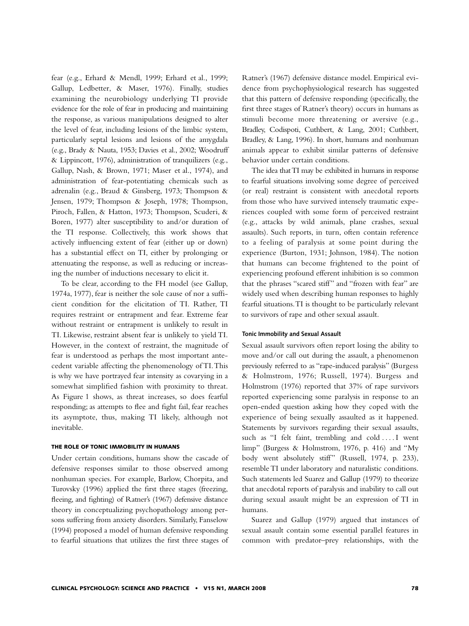fear (e.g., Erhard & Mendl, 1999; Erhard et al., 1999; Gallup, Ledbetter, & Maser, 1976). Finally, studies examining the neurobiology underlying TI provide evidence for the role of fear in producing and maintaining the response, as various manipulations designed to alter the level of fear, including lesions of the limbic system, particularly septal lesions and lesions of the amygdala (e.g., Brady & Nauta, 1953; Davies et al., 2002; Woodruff & Lippincott, 1976), administration of tranquilizers (e.g., Gallup, Nash, & Brown, 1971; Maser et al., 1974), and administration of fear-potentiating chemicals such as adrenalin (e.g., Braud & Ginsberg, 1973; Thompson & Jensen, 1979; Thompson & Joseph, 1978; Thompson, Piroch, Fallen, & Hatton, 1973; Thompson, Scuderi, & Boren, 1977) alter susceptibility to and/or duration of the TI response. Collectively, this work shows that actively influencing extent of fear (either up or down) has a substantial effect on TI, either by prolonging or attenuating the response, as well as reducing or increasing the number of inductions necessary to elicit it.

To be clear, according to the FH model (see Gallup, 1974a, 1977), fear is neither the sole cause of nor a sufficient condition for the elicitation of TI. Rather, TI requires restraint or entrapment and fear. Extreme fear without restraint or entrapment is unlikely to result in TI. Likewise, restraint absent fear is unlikely to yield TI. However, in the context of restraint, the magnitude of fear is understood as perhaps the most important antecedent variable affecting the phenomenology of TI. This is why we have portrayed fear intensity as covarying in a somewhat simplified fashion with proximity to threat. As Figure 1 shows, as threat increases, so does fearful responding; as attempts to flee and fight fail, fear reaches its asymptote, thus, making TI likely, although not inevitable.

## **THE ROLE OF TONIC IMMOBILITY IN HUMANS**

Under certain conditions, humans show the cascade of defensive responses similar to those observed among nonhuman species. For example, Barlow, Chorpita, and Turovsky (1996) applied the first three stages (freezing, fleeing, and fighting) of Ratner's (1967) defensive distance theory in conceptualizing psychopathology among persons suffering from anxiety disorders. Similarly, Fanselow (1994) proposed a model of human defensive responding to fearful situations that utilizes the first three stages of

Ratner's (1967) defensive distance model. Empirical evidence from psychophysiological research has suggested that this pattern of defensive responding (specifically, the first three stages of Ratner's theory) occurs in humans as stimuli become more threatening or aversive (e.g., Bradley, Codispoti, Cuthbert, & Lang, 2001; Cuthbert, Bradley, & Lang, 1996). In short, humans and nonhuman animals appear to exhibit similar patterns of defensive behavior under certain conditions.

The idea that TI may be exhibited in humans in response to fearful situations involving some degree of perceived (or real) restraint is consistent with anecdotal reports from those who have survived intensely traumatic experiences coupled with some form of perceived restraint (e.g., attacks by wild animals, plane crashes, sexual assaults). Such reports, in turn, often contain reference to a feeling of paralysis at some point during the experience (Burton, 1931; Johnson, 1984). The notion that humans can become frightened to the point of experiencing profound efferent inhibition is so common that the phrases "scared stiff" and "frozen with fear" are widely used when describing human responses to highly fearful situations. TI is thought to be particularly relevant to survivors of rape and other sexual assault.

#### **Tonic Immobility and Sexual Assault**

Sexual assault survivors often report losing the ability to move and/or call out during the assault, a phenomenon previously referred to as "rape-induced paralysis" (Burgess & Holmstrom, 1976; Russell, 1974). Burgess and Holmstrom (1976) reported that 37% of rape survivors reported experiencing some paralysis in response to an open-ended question asking how they coped with the experience of being sexually assaulted as it happened. Statements by survivors regarding their sexual assaults, such as "I felt faint, trembling and cold .... I went limp" (Burgess & Holmstrom, 1976, p. 416) and "My body went absolutely stiff" (Russell, 1974, p. 233), resemble TI under laboratory and naturalistic conditions. Such statements led Suarez and Gallup (1979) to theorize that anecdotal reports of paralysis and inability to call out during sexual assault might be an expression of TI in humans.

Suarez and Gallup (1979) argued that instances of sexual assault contain some essential parallel features in common with predator–prey relationships, with the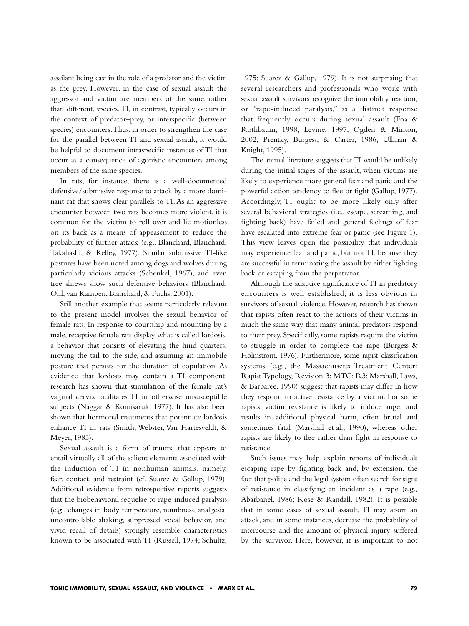assailant being cast in the role of a predator and the victim as the prey. However, in the case of sexual assault the aggressor and victim are members of the same, rather than different, species. TI, in contrast, typically occurs in the context of predator–prey, or interspecific (between species) encounters. Thus, in order to strengthen the case for the parallel between TI and sexual assault, it would be helpful to document intraspecific instances of TI that occur as a consequence of agonistic encounters among members of the same species.

In rats, for instance, there is a well-documented defensive/submissive response to attack by a more dominant rat that shows clear parallels to TI. As an aggressive encounter between two rats becomes more violent, it is common for the victim to roll over and lie motionless on its back as a means of appeasement to reduce the probability of further attack (e.g., Blanchard, Blanchard, Takahashi, & Kelley, 1977). Similar submissive TI-like postures have been noted among dogs and wolves during particularly vicious attacks (Schenkel, 1967), and even tree shrews show such defensive behaviors (Blanchard, Ohl, van Kampen, Blanchard, & Fuchs, 2001).

Still another example that seems particularly relevant to the present model involves the sexual behavior of female rats. In response to courtship and mounting by a male, receptive female rats display what is called lordosis, a behavior that consists of elevating the hind quarters, moving the tail to the side, and assuming an immobile posture that persists for the duration of copulation. As evidence that lordosis may contain a TI component, research has shown that stimulation of the female rat's vaginal cervix facilitates TI in otherwise unsusceptible subjects (Naggar & Komisaruk, 1977). It has also been shown that hormonal treatments that potentiate lordosis enhance TI in rats (Smith, Webster, Van Hartesveldt, & Meyer, 1985).

Sexual assault is a form of trauma that appears to entail virtually all of the salient elements associated with the induction of TI in nonhuman animals, namely, fear, contact, and restraint (cf. Suarez & Gallup, 1979). Additional evidence from retrospective reports suggests that the biobehavioral sequelae to rape-induced paralysis (e.g., changes in body temperature, numbness, analgesia, uncontrollable shaking, suppressed vocal behavior, and vivid recall of details) strongly resemble characteristics known to be associated with TI (Russell, 1974; Schultz,

1975; Suarez & Gallup, 1979). It is not surprising that several researchers and professionals who work with sexual assault survivors recognize the immobility reaction, or "rape-induced paralysis," as a distinct response that frequently occurs during sexual assault (Foa & Rothbaum, 1998; Levine, 1997; Ogden & Minton, 2002; Prentky, Burgess, & Carter, 1986; Ullman & Knight, 1995).

The animal literature suggests that TI would be unlikely during the initial stages of the assault, when victims are likely to experience more general fear and panic and the powerful action tendency to flee or fight (Gallup, 1977). Accordingly, TI ought to be more likely only after several behavioral strategies (i.e., escape, screaming, and fighting back) have failed and general feelings of fear have escalated into extreme fear or panic (see Figure 1). This view leaves open the possibility that individuals may experience fear and panic, but not TI, because they are successful in terminating the assault by either fighting back or escaping from the perpetrator.

Although the adaptive significance of TI in predatory encounters is well established, it is less obvious in survivors of sexual violence. However, research has shown that rapists often react to the actions of their victims in much the same way that many animal predators respond to their prey. Specifically, some rapists require the victim to struggle in order to complete the rape (Burgess & Holmstrom, 1976). Furthermore, some rapist classification systems (e.g., the Massachusetts Treatment Center: Rapist Typology, Revision 3; MTC: R3; Marshall, Laws, & Barbaree, 1990) suggest that rapists may differ in how they respond to active resistance by a victim. For some rapists, victim resistance is likely to induce anger and results in additional physical harm, often brutal and sometimes fatal (Marshall et al., 1990), whereas other rapists are likely to flee rather than fight in response to resistance.

Such issues may help explain reports of individuals escaping rape by fighting back and, by extension, the fact that police and the legal system often search for signs of resistance in classifying an incident as a rape (e.g., Abarbanel, 1986; Rose & Randall, 1982). It is possible that in some cases of sexual assault, TI may abort an attack, and in some instances, decrease the probability of intercourse and the amount of physical injury suffered by the survivor. Here, however, it is important to not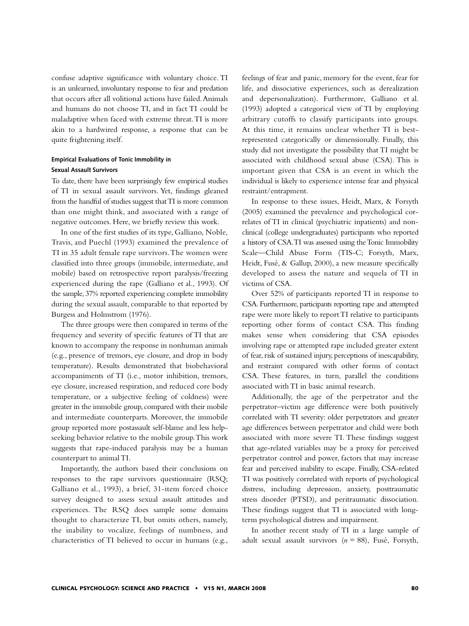confuse adaptive significance with voluntary choice. TI is an unlearned, involuntary response to fear and predation that occurs after all volitional actions have failed. Animals and humans do not choose TI, and in fact TI could be maladaptive when faced with extreme threat. TI is more akin to a hardwired response, a response that can be quite frightening itself.

# **Empirical Evaluations of Tonic Immobility in Sexual Assault Survivors**

To date, there have been surprisingly few empirical studies of TI in sexual assault survivors. Yet, findings gleaned from the handful of studies suggest that TI is more common than one might think, and associated with a range of negative outcomes. Here, we briefly review this work.

In one of the first studies of its type, Galliano, Noble, Travis, and Puechl (1993) examined the prevalence of TI in 35 adult female rape survivors. The women were classified into three groups (immobile, intermediate, and mobile) based on retrospective report paralysis/freezing experienced during the rape (Galliano et al., 1993). Of the sample, 37% reported experiencing complete immobility during the sexual assault, comparable to that reported by Burgess and Holmstrom (1976).

The three groups were then compared in terms of the frequency and severity of specific features of TI that are known to accompany the response in nonhuman animals (e.g., presence of tremors, eye closure, and drop in body temperature). Results demonstrated that biobehavioral accompaniments of TI (i.e., motor inhibition, tremors, eye closure, increased respiration, and reduced core body temperature, or a subjective feeling of coldness) were greater in the immobile group, compared with their mobile and intermediate counterparts. Moreover, the immobile group reported more postassault self-blame and less helpseeking behavior relative to the mobile group. This work suggests that rape-induced paralysis may be a human counterpart to animal TI.

Importantly, the authors based their conclusions on responses to the rape survivors questionnaire (RSQ; Galliano et al., 1993), a brief, 31-item forced choice survey designed to assess sexual assault attitudes and experiences. The RSQ does sample some domains thought to characterize TI, but omits others, namely, the inability to vocalize, feelings of numbness, and characteristics of TI believed to occur in humans (e.g., feelings of fear and panic, memory for the event, fear for life, and dissociative experiences, such as derealization and depersonalization). Furthermore, Galliano et al. (1993) adopted a categorical view of TI by employing arbitrary cutoffs to classify participants into groups. At this time, it remains unclear whether TI is bestrepresented categorically or dimensionally. Finally, this study did not investigate the possibility that TI might be associated with childhood sexual abuse (CSA). This is important given that CSA is an event in which the individual is likely to experience intense fear and physical restraint/entrapment.

In response to these issues, Heidt, Marx, & Forsyth (2005) examined the prevalence and psychological correlates of TI in clinical (psychiatric inpatients) and nonclinical (college undergraduates) participants who reported a history of CSA. TI was assessed using the Tonic Immobility Scale—Child Abuse Form (TIS-C; Forsyth, Marx, Heidt, Fusé, & Gallup, 2000), a new measure specifically developed to assess the nature and sequela of TI in victims of CSA.

Over 52% of participants reported TI in response to CSA. Furthermore, participants reporting rape and attempted rape were more likely to report TI relative to participants reporting other forms of contact CSA. This finding makes sense when considering that CSA episodes involving rape or attempted rape included greater extent of fear, risk of sustained injury, perceptions of inescapability, and restraint compared with other forms of contact CSA. These features, in turn, parallel the conditions associated with TI in basic animal research.

Additionally, the age of the perpetrator and the perpetrator–victim age difference were both positively correlated with TI severity: older perpetrators and greater age differences between perpetrator and child were both associated with more severe TI. These findings suggest that age-related variables may be a proxy for perceived perpetrator control and power, factors that may increase fear and perceived inability to escape. Finally, CSA-related TI was positively correlated with reports of psychological distress, including depression, anxiety, posttraumatic stress disorder (PTSD), and peritraumatic dissociation. These findings suggest that TI is associated with longterm psychological distress and impairment.

In another recent study of TI in a large sample of adult sexual assault survivors (*n* = 88), Fusé, Forsyth,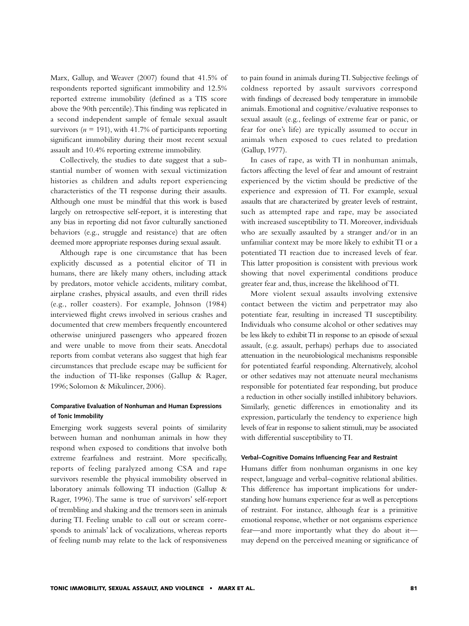Marx, Gallup, and Weaver (2007) found that 41.5% of respondents reported significant immobility and 12.5% reported extreme immobility (defined as a TIS score above the 90th percentile). This finding was replicated in a second independent sample of female sexual assault survivors ( $n = 191$ ), with 41.7% of participants reporting significant immobility during their most recent sexual assault and 10.4% reporting extreme immobility.

Collectively, the studies to date suggest that a substantial number of women with sexual victimization histories as children and adults report experiencing characteristics of the TI response during their assaults. Although one must be mindful that this work is based largely on retrospective self-report, it is interesting that any bias in reporting did not favor culturally sanctioned behaviors (e.g., struggle and resistance) that are often deemed more appropriate responses during sexual assault.

Although rape is one circumstance that has been explicitly discussed as a potential elicitor of TI in humans, there are likely many others, including attack by predators, motor vehicle accidents, military combat, airplane crashes, physical assaults, and even thrill rides (e.g., roller coasters). For example, Johnson (1984) interviewed flight crews involved in serious crashes and documented that crew members frequently encountered otherwise uninjured passengers who appeared frozen and were unable to move from their seats. Anecdotal reports from combat veterans also suggest that high fear circumstances that preclude escape may be sufficient for the induction of TI-like responses (Gallup & Rager, 1996; Solomon & Mikulincer, 2006).

# **Comparative Evaluation of Nonhuman and Human Expressions of Tonic Immobility**

Emerging work suggests several points of similarity between human and nonhuman animals in how they respond when exposed to conditions that involve both extreme fearfulness and restraint. More specifically, reports of feeling paralyzed among CSA and rape survivors resemble the physical immobility observed in laboratory animals following TI induction (Gallup & Rager, 1996). The same is true of survivors' self-report of trembling and shaking and the tremors seen in animals during TI. Feeling unable to call out or scream corresponds to animals' lack of vocalizations, whereas reports of feeling numb may relate to the lack of responsiveness to pain found in animals during TI. Subjective feelings of coldness reported by assault survivors correspond with findings of decreased body temperature in immobile animals. Emotional and cognitive/evaluative responses to sexual assault (e.g., feelings of extreme fear or panic, or fear for one's life) are typically assumed to occur in animals when exposed to cues related to predation (Gallup, 1977).

In cases of rape, as with TI in nonhuman animals, factors affecting the level of fear and amount of restraint experienced by the victim should be predictive of the experience and expression of TI. For example, sexual assaults that are characterized by greater levels of restraint, such as attempted rape and rape, may be associated with increased susceptibility to TI. Moreover, individuals who are sexually assaulted by a stranger and/or in an unfamiliar context may be more likely to exhibit TI or a potentiated TI reaction due to increased levels of fear. This latter proposition is consistent with previous work showing that novel experimental conditions produce greater fear and, thus, increase the likelihood of TI.

More violent sexual assaults involving extensive contact between the victim and perpetrator may also potentiate fear, resulting in increased TI susceptibility. Individuals who consume alcohol or other sedatives may be less likely to exhibit TI in response to an episode of sexual assault, (e.g. assault, perhaps) perhaps due to associated attenuation in the neurobiological mechanisms responsible for potentiated fearful responding. Alternatively, alcohol or other sedatives may not attenuate neural mechanisms responsible for potentiated fear responding, but produce a reduction in other socially instilled inhibitory behaviors. Similarly, genetic differences in emotionality and its expression, particularly the tendency to experience high levels of fear in response to salient stimuli, may be associated with differential susceptibility to TI.

## **Verbal–Cognitive Domains Influencing Fear and Restraint**

Humans differ from nonhuman organisms in one key respect, language and verbal–cognitive relational abilities. This difference has important implications for understanding how humans experience fear as well as perceptions of restraint. For instance, although fear is a primitive emotional response, whether or not organisms experience fear—and more importantly what they do about it may depend on the perceived meaning or significance of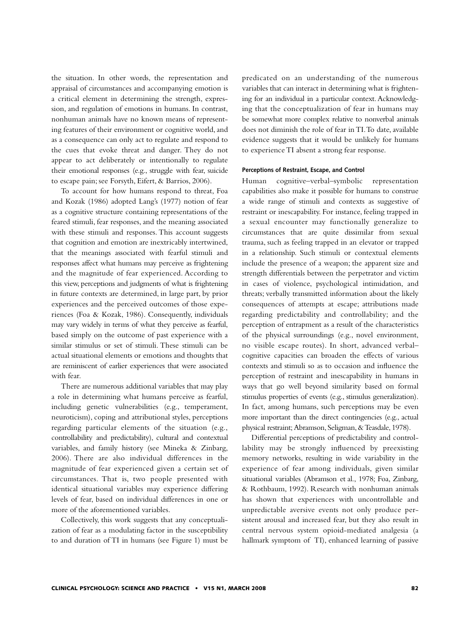the situation. In other words, the representation and appraisal of circumstances and accompanying emotion is a critical element in determining the strength, expression, and regulation of emotions in humans. In contrast, nonhuman animals have no known means of representing features of their environment or cognitive world, and as a consequence can only act to regulate and respond to the cues that evoke threat and danger. They do not appear to act deliberately or intentionally to regulate their emotional responses (e.g., struggle with fear, suicide to escape pain; see Forsyth, Eifert, & Barrios, 2006).

To account for how humans respond to threat, Foa and Kozak (1986) adopted Lang's (1977) notion of fear as a cognitive structure containing representations of the feared stimuli, fear responses, and the meaning associated with these stimuli and responses. This account suggests that cognition and emotion are inextricably intertwined, that the meanings associated with fearful stimuli and responses affect what humans may perceive as frightening and the magnitude of fear experienced. According to this view, perceptions and judgments of what is frightening in future contexts are determined, in large part, by prior experiences and the perceived outcomes of those experiences (Foa & Kozak, 1986). Consequently, individuals may vary widely in terms of what they perceive as fearful, based simply on the outcome of past experience with a similar stimulus or set of stimuli. These stimuli can be actual situational elements or emotions and thoughts that are reminiscent of earlier experiences that were associated with fear.

There are numerous additional variables that may play a role in determining what humans perceive as fearful, including genetic vulnerabilities (e.g., temperament, neuroticism), coping and attributional styles, perceptions regarding particular elements of the situation (e.g., controllability and predictability), cultural and contextual variables, and family history (see Mineka & Zinbarg, 2006). There are also individual differences in the magnitude of fear experienced given a certain set of circumstances. That is, two people presented with identical situational variables may experience differing levels of fear, based on individual differences in one or more of the aforementioned variables.

Collectively, this work suggests that any conceptualization of fear as a modulating factor in the susceptibility to and duration of TI in humans (see Figure 1) must be predicated on an understanding of the numerous variables that can interact in determining what is frightening for an individual in a particular context. Acknowledging that the conceptualization of fear in humans may be somewhat more complex relative to nonverbal animals does not diminish the role of fear in TI. To date, available evidence suggests that it would be unlikely for humans to experience TI absent a strong fear response.

# **Perceptions of Restraint, Escape, and Control**

Human cognitive–verbal–symbolic representation capabilities also make it possible for humans to construe a wide range of stimuli and contexts as suggestive of restraint or inescapability. For instance, feeling trapped in a sexual encounter may functionally generalize to circumstances that are quite dissimilar from sexual trauma, such as feeling trapped in an elevator or trapped in a relationship. Such stimuli or contextual elements include the presence of a weapon; the apparent size and strength differentials between the perpetrator and victim in cases of violence, psychological intimidation, and threats; verbally transmitted information about the likely consequences of attempts at escape; attributions made regarding predictability and controllability; and the perception of entrapment as a result of the characteristics of the physical surroundings (e.g., novel environment, no visible escape routes). In short, advanced verbal– cognitive capacities can broaden the effects of various contexts and stimuli so as to occasion and influence the perception of restraint and inescapability in humans in ways that go well beyond similarity based on formal stimulus properties of events (e.g., stimulus generalization). In fact, among humans, such perceptions may be even more important than the direct contingencies (e.g., actual physical restraint; Abramson, Seligman, & Teasdale, 1978).

Differential perceptions of predictability and controllability may be strongly influenced by preexisting memory networks, resulting in wide variability in the experience of fear among individuals, given similar situational variables (Abramson et al., 1978; Foa, Zinbarg, & Rothbaum, 1992). Research with nonhuman animals has shown that experiences with uncontrollable and unpredictable aversive events not only produce persistent arousal and increased fear, but they also result in central nervous system opioid-mediated analgesia (a hallmark symptom of TI), enhanced learning of passive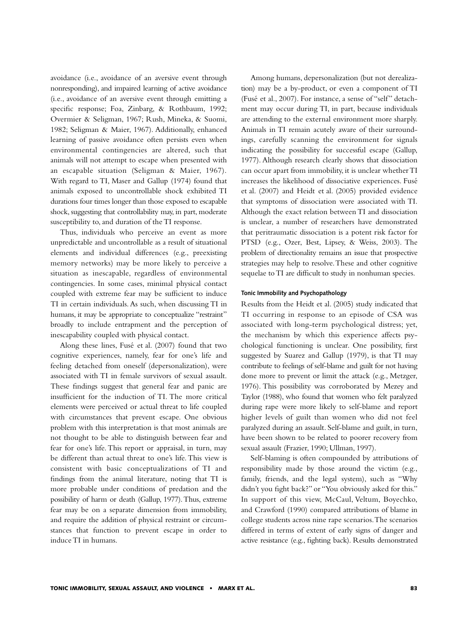avoidance (i.e., avoidance of an aversive event through nonresponding), and impaired learning of active avoidance (i.e., avoidance of an aversive event through emitting a specific response; Foa, Zinbarg, & Rothbaum, 1992; Overmier & Seligman, 1967; Rush, Mineka, & Suomi, 1982; Seligman & Maier, 1967). Additionally, enhanced learning of passive avoidance often persists even when environmental contingencies are altered, such that animals will not attempt to escape when presented with an escapable situation (Seligman & Maier, 1967). With regard to TI, Maser and Gallup (1974) found that animals exposed to uncontrollable shock exhibited TI durations four times longer than those exposed to escapable shock, suggesting that controllability may, in part, moderate susceptibility to, and duration of the TI response.

Thus, individuals who perceive an event as more unpredictable and uncontrollable as a result of situational elements and individual differences (e.g., preexisting memory networks) may be more likely to perceive a situation as inescapable, regardless of environmental contingencies. In some cases, minimal physical contact coupled with extreme fear may be sufficient to induce TI in certain individuals. As such, when discussing TI in humans, it may be appropriate to conceptualize "restraint" broadly to include entrapment and the perception of inescapability coupled with physical contact.

Along these lines, Fusé et al. (2007) found that two cognitive experiences, namely, fear for one's life and feeling detached from oneself (depersonalization), were associated with TI in female survivors of sexual assault. These findings suggest that general fear and panic are insufficient for the induction of TI. The more critical elements were perceived or actual threat to life coupled with circumstances that prevent escape. One obvious problem with this interpretation is that most animals are not thought to be able to distinguish between fear and fear for one's life. This report or appraisal, in turn, may be different than actual threat to one's life. This view is consistent with basic conceptualizations of TI and findings from the animal literature, noting that TI is more probable under conditions of predation and the possibility of harm or death (Gallup, 1977). Thus, extreme fear may be on a separate dimension from immobility, and require the addition of physical restraint or circumstances that function to prevent escape in order to induce TI in humans.

Among humans, depersonalization (but not derealization) may be a by-product, or even a component of TI (Fusé et al., 2007). For instance, a sense of "self" detachment may occur during TI, in part, because individuals are attending to the external environment more sharply. Animals in TI remain acutely aware of their surroundings, carefully scanning the environment for signals indicating the possibility for successful escape (Gallup, 1977). Although research clearly shows that dissociation can occur apart from immobility, it is unclear whether TI increases the likelihood of dissociative experiences. Fusé et al. (2007) and Heidt et al. (2005) provided evidence that symptoms of dissociation were associated with TI. Although the exact relation between TI and dissociation is unclear, a number of researchers have demonstrated that peritraumatic dissociation is a potent risk factor for PTSD (e.g., Ozer, Best, Lipsey, & Weiss, 2003). The problem of directionality remains an issue that prospective strategies may help to resolve. These and other cognitive sequelae to TI are difficult to study in nonhuman species.

### **Tonic Immobility and Psychopathology**

Results from the Heidt et al. (2005) study indicated that TI occurring in response to an episode of CSA was associated with long-term psychological distress; yet, the mechanism by which this experience affects psychological functioning is unclear. One possibility, first suggested by Suarez and Gallup (1979), is that TI may contribute to feelings of self-blame and guilt for not having done more to prevent or limit the attack (e.g., Metzger, 1976). This possibility was corroborated by Mezey and Taylor (1988), who found that women who felt paralyzed during rape were more likely to self-blame and report higher levels of guilt than women who did not feel paralyzed during an assault. Self-blame and guilt, in turn, have been shown to be related to poorer recovery from sexual assault (Frazier, 1990; Ullman, 1997).

Self-blaming is often compounded by attributions of responsibility made by those around the victim (e.g., family, friends, and the legal system), such as "Why didn't you fight back?" or "You obviously asked for this." In support of this view, McCaul, Veltum, Boyechko, and Crawford (1990) compared attributions of blame in college students across nine rape scenarios. The scenarios differed in terms of extent of early signs of danger and active resistance (e.g., fighting back). Results demonstrated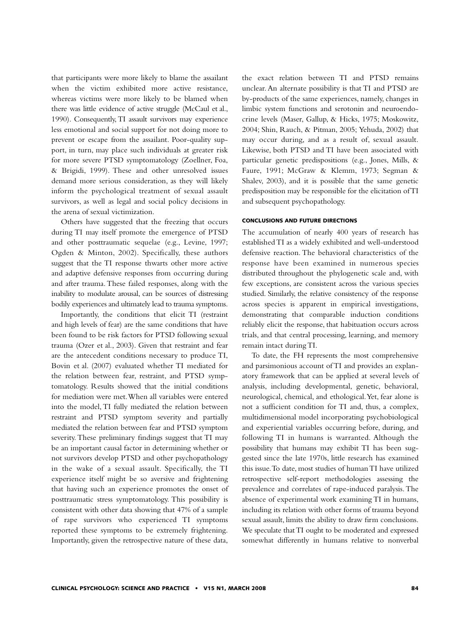that participants were more likely to blame the assailant when the victim exhibited more active resistance, whereas victims were more likely to be blamed when there was little evidence of active struggle (McCaul et al., 1990). Consequently, TI assault survivors may experience less emotional and social support for not doing more to prevent or escape from the assailant. Poor-quality support, in turn, may place such individuals at greater risk for more severe PTSD symptomatology (Zoellner, Foa, & Brigidi, 1999). These and other unresolved issues demand more serious consideration, as they will likely inform the psychological treatment of sexual assault survivors, as well as legal and social policy decisions in the arena of sexual victimization.

Others have suggested that the freezing that occurs during TI may itself promote the emergence of PTSD and other posttraumatic sequelae (e.g., Levine, 1997; Ogden & Minton, 2002). Specifically, these authors suggest that the TI response thwarts other more active and adaptive defensive responses from occurring during and after trauma. These failed responses, along with the inability to modulate arousal, can be sources of distressing bodily experiences and ultimately lead to trauma symptoms.

Importantly, the conditions that elicit TI (restraint and high levels of fear) are the same conditions that have been found to be risk factors for PTSD following sexual trauma (Ozer et al., 2003). Given that restraint and fear are the antecedent conditions necessary to produce TI, Bovin et al. (2007) evaluated whether TI mediated for the relation between fear, restraint, and PTSD symptomatology. Results showed that the initial conditions for mediation were met. When all variables were entered into the model, TI fully mediated the relation between restraint and PTSD symptom severity and partially mediated the relation between fear and PTSD symptom severity. These preliminary findings suggest that TI may be an important causal factor in determining whether or not survivors develop PTSD and other psychopathology in the wake of a sexual assault. Specifically, the TI experience itself might be so aversive and frightening that having such an experience promotes the onset of posttraumatic stress symptomatology. This possibility is consistent with other data showing that 47% of a sample of rape survivors who experienced TI symptoms reported these symptoms to be extremely frightening. Importantly, given the retrospective nature of these data,

the exact relation between TI and PTSD remains unclear. An alternate possibility is that TI and PTSD are by-products of the same experiences, namely, changes in limbic system functions and serotonin and neuroendocrine levels (Maser, Gallup, & Hicks, 1975; Moskowitz, 2004; Shin, Rauch, & Pitman, 2005; Yehuda, 2002) that may occur during, and as a result of, sexual assault. Likewise, both PTSD and TI have been associated with particular genetic predispositions (e.g., Jones, Mills, & Faure, 1991; McGraw & Klemm, 1973; Segman & Shalev, 2003), and it is possible that the same genetic predisposition may be responsible for the elicitation of TI and subsequent psychopathology.

#### **CONCLUSIONS AND FUTURE DIRECTIONS**

The accumulation of nearly 400 years of research has established TI as a widely exhibited and well-understood defensive reaction. The behavioral characteristics of the response have been examined in numerous species distributed throughout the phylogenetic scale and, with few exceptions, are consistent across the various species studied. Similarly, the relative consistency of the response across species is apparent in empirical investigations, demonstrating that comparable induction conditions reliably elicit the response, that habituation occurs across trials, and that central processing, learning, and memory remain intact during TI.

To date, the FH represents the most comprehensive and parsimonious account of TI and provides an explanatory framework that can be applied at several levels of analysis, including developmental, genetic, behavioral, neurological, chemical, and ethological. Yet, fear alone is not a sufficient condition for TI and, thus, a complex, multidimensional model incorporating psychobiological and experiential variables occurring before, during, and following TI in humans is warranted. Although the possibility that humans may exhibit TI has been suggested since the late 1970s, little research has examined this issue. To date, most studies of human TI have utilized retrospective self-report methodologies assessing the prevalence and correlates of rape-induced paralysis. The absence of experimental work examining TI in humans, including its relation with other forms of trauma beyond sexual assault, limits the ability to draw firm conclusions. We speculate that TI ought to be moderated and expressed somewhat differently in humans relative to nonverbal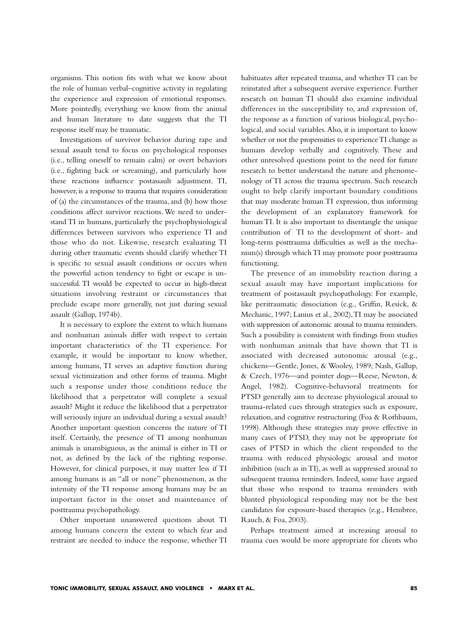organisms. This notion fits with what we know about the role of human verbal–cognitive activity in regulating the experience and expression of emotional responses. More pointedly, everything we know from the animal and human literature to date suggests that the TI response itself may be traumatic.

Investigations of survivor behavior during rape and sexual assault tend to focus on psychological responses (i.e., telling oneself to remain calm) or overt behaviors (i.e., fighting back or screaming), and particularly how these reactions influence postassault adjustment. TI, however, is a response to trauma that requires consideration of (a) the circumstances of the trauma, and (b) how those conditions affect survivor reactions. We need to understand TI in humans, particularly the psychophysiological differences between survivors who experience TI and those who do not. Likewise, research evaluating TI during other traumatic events should clarify whether TI is specific to sexual assault conditions or occurs when the powerful action tendency to fight or escape is unsuccessful. TI would be expected to occur in high-threat situations involving restraint or circumstances that preclude escape more generally, not just during sexual assault (Gallup, 1974b).

It is necessary to explore the extent to which humans and nonhuman animals differ with respect to certain important characteristics of the TI experience. For example, it would be important to know whether, among humans, TI serves an adaptive function during sexual victimization and other forms of trauma. Might such a response under those conditions reduce the likelihood that a perpetrator will complete a sexual assault? Might it reduce the likelihood that a perpetrator will seriously injure an individual during a sexual assault? Another important question concerns the nature of TI itself. Certainly, the presence of TI among nonhuman animals is unambiguous, as the animal is either in TI or not, as defined by the lack of the righting response. However, for clinical purposes, it may matter less if TI among humans is an "all or none" phenomenon, as the intensity of the TI response among humans may be an important factor in the onset and maintenance of posttrauma psychopathology.

Other important unanswered questions about TI among humans concern the extent to which fear and restraint are needed to induce the response, whether TI habituates after repeated trauma, and whether TI can be reinstated after a subsequent aversive experience. Further research on human TI should also examine individual differences in the susceptibility to, and expression of, the response as a function of various biological, psychological, and social variables. Also, it is important to know whether or not the propensities to experience TI change as humans develop verbally and cognitively. These and other unresolved questions point to the need for future research to better understand the nature and phenomenology of TI across the trauma spectrum. Such research ought to help clarify important boundary conditions that may moderate human TI expression, thus informing the development of an explanatory framework for human TI. It is also important to disentangle the unique contribution of TI to the development of short- and long-term posttrauma difficulties as well as the mechanism(s) through which TI may promote poor posttrauma functioning.

The presence of an immobility reaction during a sexual assault may have important implications for treatment of postassault psychopathology. For example, like peritraumatic dissociation (e.g., Griffin, Resick, & Mechanic, 1997; Lanius et al., 2002), TI may be associated with suppression of autonomic arousal to trauma reminders. Such a possibility is consistent with findings from studies with nonhuman animals that have shown that TI is associated with decreased autonomic arousal (e.g., chickens—Gentle, Jones, & Wooley, 1989; Nash, Gallup, & Czech, 1976—and pointer dogs—Reese, Newton, & Angel, 1982). Cognitive-behavioral treatments for PTSD generally aim to decrease physiological arousal to trauma-related cues through strategies such as exposure, relaxation, and cognitive restructuring (Foa & Rothbaum, 1998). Although these strategies may prove effective in many cases of PTSD, they may not be appropriate for cases of PTSD in which the client responded to the trauma with reduced physiologic arousal and motor inhibition (such as in TI), as well as suppressed arousal to subsequent trauma reminders. Indeed, some have argued that those who respond to trauma reminders with blunted physiological responding may not be the best candidates for exposure-based therapies (e.g., Hembree, Rauch, & Foa, 2003).

Perhaps treatment aimed at increasing arousal to trauma cues would be more appropriate for clients who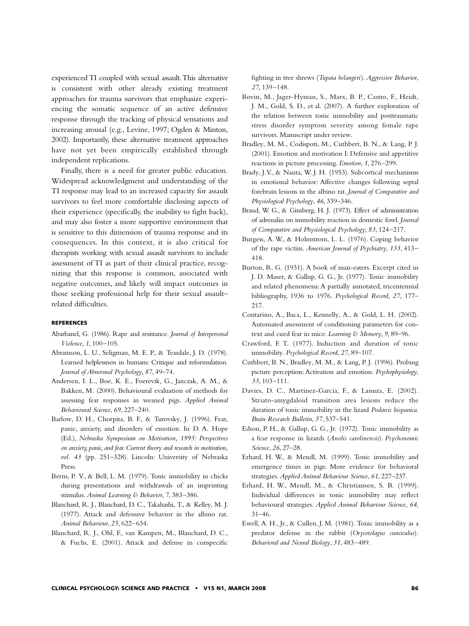experienced TI coupled with sexual assault. This alternative is consistent with other already existing treatment approaches for trauma survivors that emphasize experiencing the somatic sequence of an active defensive response through the tracking of physical sensations and increasing arousal (e.g., Levine, 1997; Ogden & Minton, 2002). Importantly, these alternative treatment approaches have not yet been empirically established through independent replications.

Finally, there is a need for greater public education. Widespread acknowledgment and understanding of the TI response may lead to an increased capacity for assault survivors to feel more comfortable disclosing aspects of their experience (specifically, the inability to fight back), and may also foster a more supportive environment that is sensitive to this dimension of trauma response and its consequences. In this context, it is also critical for therapists working with sexual assault survivors to include assessment of TI as part of their clinical practice, recognizing that this response is common, associated with negative outcomes, and likely will impact outcomes in those seeking professional help for their sexual assault– related difficulties.

#### **REFERENCES**

- Abarbanel, G. (1986). Rape and resistance. *Journal of Interpersonal Violence*, *1*, 100–105.
- Abramson, L. U., Seligman, M. E. P., & Teasdale, J. D. (1978). Learned helplessness in humans: Critique and reformulation. *Journal of Abnormal Psychology*, *87*, 49–74.
- Andersen, I. L., Boe, K. E., Foerevik, G., Janczak, A. M., & Bakken, M. (2000). Behavioural evaluation of methods for assessing fear responses in weaned pigs. *Applied Animal Behavioural Science*, *69*, 227–240.
- Barlow, D. H., Chorpita, B. F., & Turovsky, J. (1996). Fear, panic, anxiety, and disorders of emotion. In D. A. Hope (Ed.), *Nebraska Symposium on Motivation, 1995: Perspectives on anxiety, panic, and fear. Current theory and research in motivation, vol. 43* (pp. 251–328). Lincoln: University of Nebraska Press.
- Berns, P. V., & Bell, L. M. (1979). Tonic immobility in chicks during presentations and withdrawals of an imprinting stimulus. *Animal Learning & Behavior*, *7*, 383–386.
- Blanchard, R. J., Blanchard, D. C., Takahashi, T., & Kelley, M. J. (1977). Attack and defensive behavior in the albino rat. *Animal Behaviour*, *25*, 622–634.
- Blanchard, R. J., Ohl, F., van Kampen, M., Blanchard, D. C., & Fuchs, E. (2001). Attack and defense in conspecific

fighting in tree shrews (*Tupaia belangeri*). *Aggressive Behavior*, *27*, 139–148.

- Bovin, M., Jager-Hyman, S., Marx, B. P., Castro, F., Heidt, J. M., Gold, S. D., et al. (2007). A further exploration of the relation between tonic immobility and posttraumatic stress disorder symptom severity among female rape survivors. Manuscript under review.
- Bradley, M. M., Codispoti, M., Cuthbert, B. N., & Lang, P. J. (2001). Emotion and motivation I: Defensive and appetitive reactions in picture processing. *Emotion*, *1*, 276–299.
- Brady, J. V., & Nauta, W. J. H. (1953). Subcortical mechanisms in emotional behavior: Affective changes following septal forebrain lesions in the albino rat. *Journal of Comparative and Physiological Psychology*, *46*, 339–346.
- Braud, W. G., & Ginsberg, H. J. (1973). Effect of administration of adrenalin on immobility reaction in domestic fowl. *Journal of Comparative and Physiological Psychology*, *83*, 124–217.
- Burgess, A. W., & Holmstrom, L. L. (1976). Coping behavior of the rape victim. *American Journal of Psychiatry*, *133*, 413– 418.
- Burton, R. G. (1931). A book of man-eaters. Excerpt cited in J. D. Maser, & Gallup, G. G., Jr. (1977). Tonic immobility and related phenomena: A partially annotated, tricentennial bibliography, 1936 to 1976. *Psychological Record*, *27*, 177– 217.
- Contarino, A., Baca, L., Kennelly, A., & Gold, L. H. (2002). Automated assessment of conditioning parameters for context and cued fear in mice. *Learning & Memory*, *9*, 89–96.
- Crawford, F. T. (1977). Induction and duration of tonic immobility. *Psychological Record*, *27*, 89–107.
- Cuthbert, B. N., Bradley, M. M., & Lang, P. J. (1996). Probing picture perception: Activation and emotion. *Psychophysiology*, *33*, 103–111.
- Davies, D. C., Martinez-Garcia, F., & Lanuza, E. (2002). Striato-amygdaloid transition area lesions reduce the duration of tonic immobility in the lizard *Podarcis hispanica*. *Brain Research Bulletin*, *57*, 537–541.
- Edson, P. H., & Gallup, G. G., Jr. (1972). Tonic immobility as a fear response in lizards (*Anolis carolinensis*). *Psychonomic Science*, *26*, 27–28.
- Erhard, H. W., & Mendl, M. (1999). Tonic immobility and emergence times in pigs: More evidence for behavioral strategies. *Applied Animal Behaviour Science*, *61*, 227–237.
- Erhard, H. W., Mendl, M., & Christiansen, S. B. (1999). Individual differences in tonic immobility may reflect behavioural strategies. *Applied Animal Behaviour Science*, *64*, 31–46.
- Ewell, A. H., Jr., & Cullen, J. M. (1981). Tonic immobility as a predator defense in the rabbit (*Orycotolagus cunciculus*). *Behavioral and Neural Biology*, *31*, 483–489.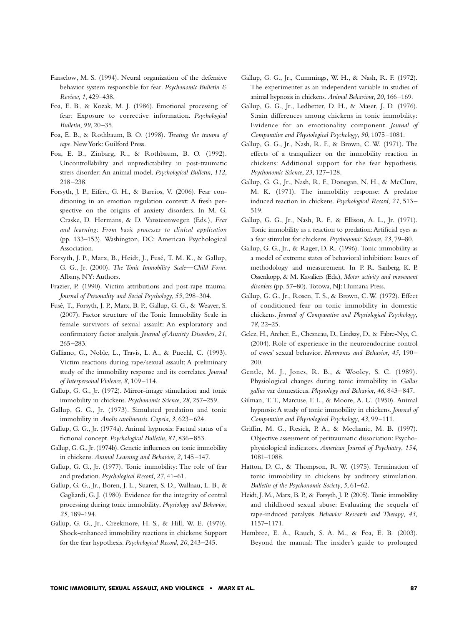- Fanselow, M. S. (1994). Neural organization of the defensive behavior system responsible for fear. *Psychonomic Bulletin & Review*, *1*, 429–438.
- Foa, E. B., & Kozak, M. J. (1986). Emotional processing of fear: Exposure to corrective information. *Psychological Bulletin*, *99*, 20–35.
- Foa, E. B., & Rothbaum, B. O. (1998). *Treating the trauma of rape*. New York: Guilford Press.
- Foa, E. B., Zinbarg, R., & Rothbaum, B. O. (1992). Uncontrollability and unpredictability in post-traumatic stress disorder: An animal model. *Psychological Bulletin*, *112*, 218–238.
- Forsyth, J. P., Eifert, G. H., & Barrios, V. (2006). Fear conditioning in an emotion regulation context: A fresh perspective on the origins of anxiety disorders. In M. G. Craske, D. Hermans, & D. Vansteenwegen (Eds.), *Fear and learning: From basic processes to clinical application* (pp. 133–153). Washington, DC: American Psychological Association.
- Forsyth, J. P., Marx, B., Heidt, J., Fusé, T. M. K., & Gallup, G. G., Jr. (2000). *The Tonic Immobility Scale—Child Form*. Albany, NY: Authors.
- Frazier, P. (1990). Victim attributions and post-rape trauma. *Journal of Personality and Social Psychology*, *59*, 298–304.
- Fusé, T., Forsyth, J. P., Marx, B. P., Gallup, G. G., & Weaver, S. (2007). Factor structure of the Tonic Immobility Scale in female survivors of sexual assault: An exploratory and confirmatory factor analysis. *Journal of Anxiety Disorders*, *21*, 265–283.
- Galliano, G., Noble, L., Travis, L. A., & Puechl, C. (1993). Victim reactions during rape/sexual assault: A preliminary study of the immobility response and its correlates. *Journal of Interpersonal Violence*, *8*, 109–114.
- Gallup, G. G., Jr. (1972). Mirror-image stimulation and tonic immobility in chickens. *Psychonomic Science*, *28*, 257–259.
- Gallup, G. G., Jr. (1973). Simulated predation and tonic immobility in *Anolis carolinensis*. *Copeia*, *3*, 623–624.
- Gallup, G. G., Jr. (1974a). Animal hypnosis: Factual status of a fictional concept. *Psychological Bulletin*, *81*, 836–853.
- Gallup, G. G., Jr. (1974b). Genetic influences on tonic immobility in chickens. *Animal Learning and Behavior*, *2*, 145–147.
- Gallup, G. G., Jr. (1977). Tonic immobility: The role of fear and predation. *Psychological Record*, *27*, 41–61.
- Gallup, G. G., Jr., Boren, J. L., Suarez, S. D., Wallnau, L. B., & Gagliardi, G. J. (1980). Evidence for the integrity of central processing during tonic immobility. *Physiology and Behavior*, *25*, 189–194.
- Gallup, G. G., Jr., Creekmore, H. S., & Hill, W. E. (1970). Shock-enhanced immobility reactions in chickens: Support for the fear hypothesis. *Psychological Record*, *20*, 243–245.
- Gallup, G. G., Jr., Cummings, W. H., & Nash, R. F. (1972). The experimenter as an independent variable in studies of animal hypnosis in chickens. *Animal Behaviour*, *20*, 166–169.
- Gallup, G. G., Jr., Ledbetter, D. H., & Maser, J. D. (1976). Strain differences among chickens in tonic immobility: Evidence for an emotionality component. *Journal of Comparative and Physiological Psychology*, *90*, 1075–1081.
- Gallup, G. G., Jr., Nash, R. F., & Brown, C. W. (1971). The effects of a tranquilizer on the immobility reaction in chickens: Additional support for the fear hypothesis. *Psychonomic Science*, *23*, 127–128.
- Gallup, G. G., Jr., Nash, R. F., Donegan, N. H., & McClure, M. K. (1971). The immobility response: A predator induced reaction in chickens. *Psychological Record*, *21*, 513– 519.
- Gallup, G. G., Jr., Nash, R. F., & Ellison, A. L., Jr. (1971). Tonic immobility as a reaction to predation: Artificial eyes as a fear stimulus for chickens. *Psychonomic Science*, *23*, 79–80.
- Gallup, G. G., Jr., & Rager, D. R. (1996). Tonic immobility as a model of extreme states of behavioral inhibition: Issues of methodology and measurement. In P. R. Sanberg, K. P. Ossenkopp, & M. Kavaliers (Eds.), *Motor activity and movement disorders* (pp. 57–80). Totowa, NJ: Humana Press.
- Gallup, G. G., Jr., Rosen, T. S., & Brown, C. W. (1972). Effect of conditioned fear on tonic immobility in domestic chickens. *Journal of Comparative and Physiological Psychology*, *78*, 22–25.
- Gelez, H., Archer, E., Chesneau, D., Lindsay, D., & Fabre-Nys, C. (2004). Role of experience in the neuroendocrine control of ewes' sexual behavior. *Hormones and Behavior*, *45*, 190– 200.
- Gentle, M. J., Jones, R. B., & Wooley, S. C. (1989). Physiological changes during tonic immobility in *Gallus gallus* var domesticus. *Physiology and Behavior*, *46*, 843–847.
- Gilman, T. T., Marcuse, F. L., & Moore, A. U. (1950). Animal hypnosis: A study of tonic immobility in chickens. *Journal of Comparative and Physiological Psychology*, *43*, 99–111.
- Griffin, M. G., Resick, P. A., & Mechanic, M. B. (1997). Objective assessment of peritraumatic dissociation: Psychophysiological indicators. *American Journal of Psychiatry*, *154*, 1081–1088.
- Hatton, D. C., & Thompson, R. W. (1975). Termination of tonic immobility in chickens by auditory stimulation. *Bulletin of the Psychonomic Society*, *5*, 61–62.
- Heidt, J. M., Marx, B. P., & Forsyth, J. P. (2005). Tonic immobility and childhood sexual abuse: Evaluating the sequela of rape-induced paralysis. *Behavior Research and Therapy*, *43*, 1157–1171.
- Hembree, E. A., Rauch, S. A. M., & Foa, E. B. (2003). Beyond the manual: The insider's guide to prolonged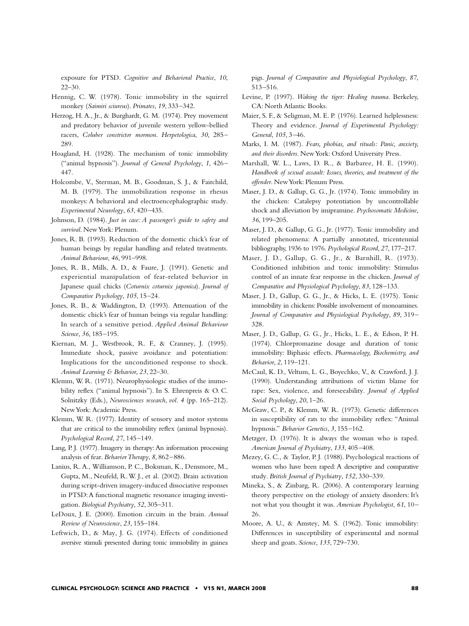exposure for PTSD. *Cognitive and Behavioral Practice*, *10*, 22–30.

- Hennig, C. W. (1978). Tonic immobility in the squirrel monkey (*Saimiri sciureus*). *Primates*, *19*, 333–342.
- Herzog, H. A., Jr., & Burghardt, G. M. (1974). Prey movement and predatory behavior of juvenile western yellow-bellied racers, *Coluber constrictor mormon*. *Herpetologica*, *30*, 285– 289.
- Hoagland, H. (1928). The mechanism of tonic immobility ("animal hypnosis"). *Journal of General Psychology*, *1*, 426– 447.
- Holcombe, V., Sterman, M. B., Goodman, S. J., & Fairchild, M. B. (1979). The immobilization response in rhesus monkeys: A behavioral and electroencephalographic study. *Experimental Neurology*, *63*, 420–435.
- Johnson, D. (1984). *Just in case: A passenger's guide to safety and survival*. New York: Plenum.
- Jones, R. B. (1993). Reduction of the domestic chick's fear of human beings by regular handling and related treatments. *Animal Behaviour*, *46*, 991–998.
- Jones, R. B., Mills, A. D., & Faure, J. (1991). Genetic and experiential manipulation of fear-related behavior in Japanese quail chicks (*Coturnix coturnix japonica*). *Journal of Comparative Psychology*, *105*, 15–24.
- Jones, R. B., & Waddington, D. (1993). Attenuation of the domestic chick's fear of human beings via regular handling: In search of a sensitive period. *Applied Animal Behaviour Science*, *36*, 185–195.
- Kiernan, M. J., Westbrook, R. F., & Cranney, J. (1995). Immediate shock, passive avoidance and potentiation: Implications for the unconditioned response to shock. *Animal Learning & Behavior*, *23*, 22–30.
- Klemm, W. R. (1971). Neurophysiologic studies of the immobility reflex ("animal hypnosis"). In S. Ehrenpreis & O. C. Solnitzky (Eds.), *Neurosciences research*, *vol. 4* (pp. 165–212). New York: Academic Press.
- Klemm, W. R. (1977). Identity of sensory and motor systems that are critical to the immobility reflex (animal hypnosis). *Psychological Record*, *27*, 145–149.
- Lang, P. J. (1977). Imagery in therapy: An information processing analysis of fear. *Behavior Therapy*, *8*, 862–886.
- Lanius, R. A., Williamson, P. C., Boksman, K., Densmore, M., Gupta, M., Neufeld, R. W. J., et al. (2002). Brain activation during script-driven imagery-induced dissociative responses in PTSD: A functional magnetic resonance imaging investigation. *Biological Psychiatry*, *52*, 305–311.
- LeDoux, J. E. (2000). Emotion circuits in the brain. *Annual Review of Neuroscience*, *23*, 155–184.
- Leftwich, D., & May, J. G. (1974). Effects of conditioned aversive stimuli presented during tonic immobility in guinea

pigs. *Journal of Comparative and Physiological Psychology*, *87*, 513–516.

- Levine, P. (1997). *Waking the tiger: Healing trauma*. Berkeley, CA: North Atlantic Books.
- Maier, S. F., & Seligman, M. E. P. (1976). Learned helplessness: Theory and evidence. *Journal of Experimental Psychology: General*, *105*, 3–46.
- Marks, I. M. (1987). *Fears, phobias, and rituals: Panic, anxiety, and their disorders*. New York: Oxford University Press.
- Marshall, W. L., Laws, D. R., & Barbaree, H. E. (1990). *Handbook of sexual assault: Issues, theories, and treatment of the offender*. New York: Plenum Press.
- Maser, J. D., & Gallup, G. G., Jr. (1974). Tonic immobility in the chicken: Catalepsy potentiation by uncontrollable shock and alleviation by imipramine. *Psychosomatic Medicine*, *36*, 199–205.
- Maser, J. D., & Gallup, G. G., Jr. (1977). Tonic immobility and related phenomena: A partially annotated, tricentennial bibliography, 1936 to 1976. *Psychological Record*, *27*, 177–217.
- Maser, J. D., Gallup, G. G., Jr., & Barnhill, R. (1973). Conditioned inhibition and tonic immobility: Stimulus control of an innate fear response in the chicken. *Journal of Comparative and Physiological Psychology*, *83*, 128–133.
- Maser, J. D., Gallup, G. G., Jr., & Hicks, L. E. (1975). Tonic immobility in chickens: Possible involvement of monoamines. *Journal of Comparative and Physiological Psychology*, *89*, 319– 328.
- Maser, J. D., Gallup, G. G., Jr., Hicks, L. E., & Edson, P. H. (1974). Chlorpromazine dosage and duration of tonic immobility: Biphasic effects. *Pharmacology, Biochemistry, and Behavior*, *2*, 119–121.
- McCaul, K. D., Veltum, L. G., Boyechko, V., & Crawford, J. J. (1990). Understanding attributions of victim blame for rape: Sex, violence, and foreseeability. *Journal of Applied Social Psychology*, *20*, 1–26.
- McGraw, C. P., & Klemm, W. R. (1973). Genetic differences in susceptibility of rats to the immobility reflex: "Animal hypnosis." *Behavior Genetics*, *3*, 155–162.
- Metzger, D. (1976). It is always the woman who is raped. *American Journal of Psychiatry*, *133*, 405–408.
- Mezey, G. C., & Taylor, P. J. (1988). Psychological reactions of women who have been raped: A descriptive and comparative study. *British Journal of Psychiatry*, *152*, 330–339.
- Mineka, S., & Zinbarg, R. (2006). A contemporary learning theory perspective on the etiology of anxiety disorders: It's not what you thought it was. *American Psychologist*, *61*, 10– 26.
- Moore, A. U., & Amstey, M. S. (1962). Tonic immobility: Differences in susceptibility of experimental and normal sheep and goats. *Science*, *135*, 729–730.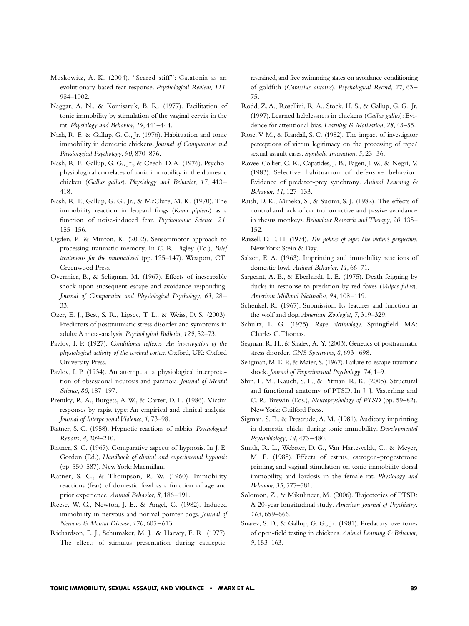- Moskowitz, A. K. (2004). "Scared stiff ": Catatonia as an evolutionary-based fear response. *Psychological Review*, *111*, 984–1002.
- Naggar, A. N., & Komisaruk, B. R. (1977). Facilitation of tonic immobility by stimulation of the vaginal cervix in the rat. *Physiology and Behavior*, *19*, 441–444.
- Nash, R. F., & Gallup, G. G., Jr. (1976). Habituation and tonic immobility in domestic chickens. *Journal of Comparative and Physiological Psychology*, *90*, 870–876.
- Nash, R. F., Gallup, G. G., Jr., & Czech, D. A. (1976). Psychophysiological correlates of tonic immobility in the domestic chicken (*Gallus gallus*). *Physiology and Behavior*, *17*, 413– 418.
- Nash, R. F., Gallup, G. G., Jr., & McClure, M. K. (1970). The immobility reaction in leopard frogs (*Rana pipiens*) as a function of noise-induced fear. *Psychonomic Science*, *21*, 155–156.
- Ogden, P., & Minton, K. (2002). Sensorimotor approach to processing traumatic memory. In C. R. Figley (Ed.), *Brief treatments for the traumatized* (pp. 125–147). Westport, CT: Greenwood Press.
- Overmier, B., & Seligman, M. (1967). Effects of inescapable shock upon subsequent escape and avoidance responding. *Journal of Comparative and Physiological Psychology*, *63*, 28– 33.
- Ozer, E. J., Best, S. R., Lipsey, T. L., & Weiss, D. S. (2003). Predictors of posttraumatic stress disorder and symptoms in adults: A meta-analysis. *Psychological Bulletin*, *129*, 52–73.
- Pavlov, I. P. (1927). *Conditional reflexes: An investigation of the physiological activity of the cerebral cortex*. Oxford, UK: Oxford University Press.
- Pavlov, I. P. (1934). An attempt at a physiological interpretation of obsessional neurosis and paranoia. *Journal of Mental Science*, *80*, 187–197.
- Prentky, R. A., Burgess, A. W., & Carter, D. L. (1986). Victim responses by rapist type: An empirical and clinical analysis. *Journal of Interpersonal Violence*, *1*, 73–98.
- Ratner, S. C. (1958). Hypnotic reactions of rabbits. *Psychological Reports*, *4*, 209–210.
- Ratner, S. C. (1967). Comparative aspects of hypnosis. In J. E. Gordon (Ed.), *Handbook of clinical and experimental hypnosis* (pp. 550–587). New York: Macmillan.
- Ratner, S. C., & Thompson, R. W. (1960). Immobility reactions (fear) of domestic fowl as a function of age and prior experience. *Animal Behavior*, *8*, 186–191.
- Reese, W. G., Newton, J. E., & Angel, C. (1982). Induced immobility in nervous and normal pointer dogs. *Journal of Nervous & Mental Disease*, *170*, 605–613.
- Richardson, E. J., Schumaker, M. J., & Harvey, E. R. (1977). The effects of stimulus presentation during cataleptic,

restrained, and free swimming states on avoidance conditioning of goldfish (*Carassius auratus*). *Psychological Record*, *27*, 63– 75.

- Rodd, Z. A., Rosellini, R. A., Stock, H. S., & Gallup, G. G., Jr. (1997). Learned helplessness in chickens (*Gallus gallus*): Evidence for attentional bias. *Learning & Motivation*, *28*, 43–55.
- Rose, V. M., & Randall, S. C. (1982). The impact of investigator perceptions of victim legitimacy on the processing of rape/ sexual assault cases. *Symbolic Interaction*, *5*, 23–36.
- Rovee-Collier, C. K., Capatides, J. B., Fagen, J. W., & Negri, V. (1983). Selective habituation of defensive behavior: Evidence of predator-prey synchrony. *Animal Learning & Behavior*, *11*, 127–133.
- Rush, D. K., Mineka, S., & Suomi, S. J. (1982). The effects of control and lack of control on active and passive avoidance in rhesus monkeys. *Behaviour Research and Therapy*, *20*, 135– 152.
- Russell, D. E. H. (1974). *The politics of rape: The victim's perspective*. New York: Stein & Day.
- Salzen, E. A. (1963). Imprinting and immobility reactions of domestic fowl. *Animal Behavior*, *11*, 66–71.
- Sargeant, A. B., & Eberhardt, L. E. (1975). Death feigning by ducks in response to predation by red foxes (*Vulpes fulva*). *American Midland Naturalist*, *94*, 108–119.
- Schenkel, R. (1967). Submission: Its features and function in the wolf and dog. *American Zoologist*, *7*, 319–329.
- Schultz, L. G. (1975). *Rape victimology*. Springfield, MA: Charles C. Thomas.
- Segman, R. H., & Shalev, A. Y. (2003). Genetics of posttraumatic stress disorder. *CNS Spectrums*, *8*, 693–698.
- Seligman, M. E. P., & Maier, S. (1967). Failure to escape traumatic shock. *Journal of Experimental Psychology*, *74*, 1–9.
- Shin, L. M., Rauch, S. L., & Pitman, R. K. (2005). Structural and functional anatomy of PTSD. In J. J. Vasterling and C. R. Brewin (Eds.), *Neuropsychology of PTSD* (pp. 59–82). New York: Guilford Press.
- Sigman, S. E., & Prestrude, A. M. (1981). Auditory imprinting in domestic chicks during tonic immobility. *Developmental Psychobiology*, *14*, 473–480.
- Smith, R. L., Webster, D. G., Van Hartesveldt, C., & Meyer, M. E. (1985). Effects of estrus, estrogen-progesterone priming, and vaginal stimulation on tonic immobility, dorsal immobility, and lordosis in the female rat. *Physiology and Behavior*, *35*, 577–581.
- Solomon, Z., & Mikulincer, M. (2006). Trajectories of PTSD: A 20-year longitudinal study. *American Journal of Psychiatry*, *163*, 659–666.
- Suarez, S. D., & Gallup, G. G., Jr. (1981). Predatory overtones of open-field testing in chickens. *Animal Learning & Behavior*, *9*, 153–163.